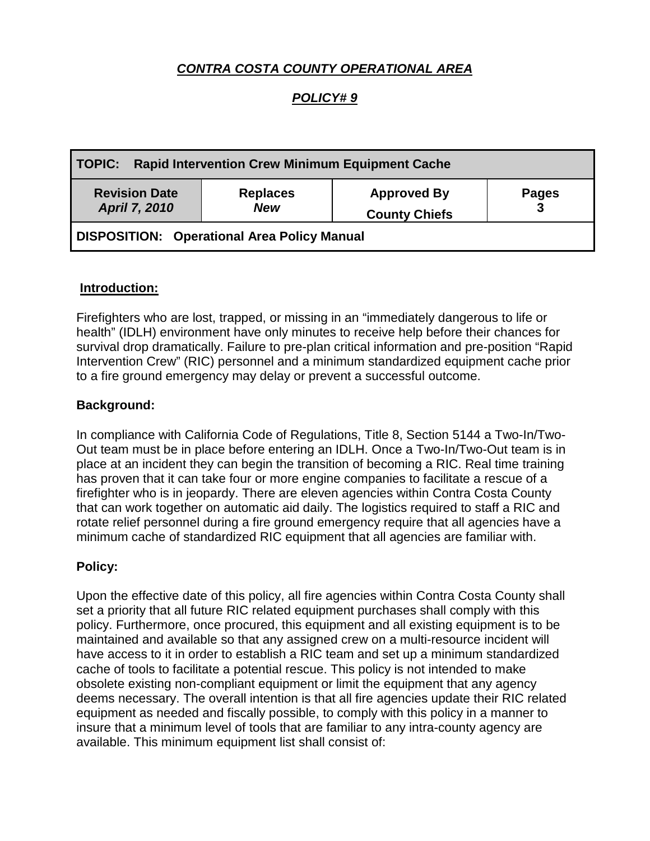# *CONTRA COSTA COUNTY OPERATIONAL AREA*

## *POLICY# 9*

| TOPIC: Rapid Intervention Crew Minimum Equipment Cache |                               |                                            |                   |
|--------------------------------------------------------|-------------------------------|--------------------------------------------|-------------------|
| <b>Revision Date</b><br><b>April 7, 2010</b>           | <b>Replaces</b><br><b>New</b> | <b>Approved By</b><br><b>County Chiefs</b> | <b>Pages</b><br>3 |
| DISPOSITION: Operational Area Policy Manual            |                               |                                            |                   |

#### **Introduction:**

Firefighters who are lost, trapped, or missing in an "immediately dangerous to life or health" (IDLH) environment have only minutes to receive help before their chances for survival drop dramatically. Failure to pre-plan critical information and pre-position "Rapid Intervention Crew" (RIC) personnel and a minimum standardized equipment cache prior to a fire ground emergency may delay or prevent a successful outcome.

### **Background:**

In compliance with California Code of Regulations, Title 8, Section 5144 a Two-In/Two-Out team must be in place before entering an IDLH. Once a Two-In/Two-Out team is in place at an incident they can begin the transition of becoming a RIC. Real time training has proven that it can take four or more engine companies to facilitate a rescue of a firefighter who is in jeopardy. There are eleven agencies within Contra Costa County that can work together on automatic aid daily. The logistics required to staff a RIC and rotate relief personnel during a fire ground emergency require that all agencies have a minimum cache of standardized RIC equipment that all agencies are familiar with.

#### **Policy:**

Upon the effective date of this policy, all fire agencies within Contra Costa County shall set a priority that all future RIC related equipment purchases shall comply with this policy. Furthermore, once procured, this equipment and all existing equipment is to be maintained and available so that any assigned crew on a multi-resource incident will have access to it in order to establish a RIC team and set up a minimum standardized cache of tools to facilitate a potential rescue. This policy is not intended to make obsolete existing non-compliant equipment or limit the equipment that any agency deems necessary. The overall intention is that all fire agencies update their RIC related equipment as needed and fiscally possible, to comply with this policy in a manner to insure that a minimum level of tools that are familiar to any intra-county agency are available. This minimum equipment list shall consist of: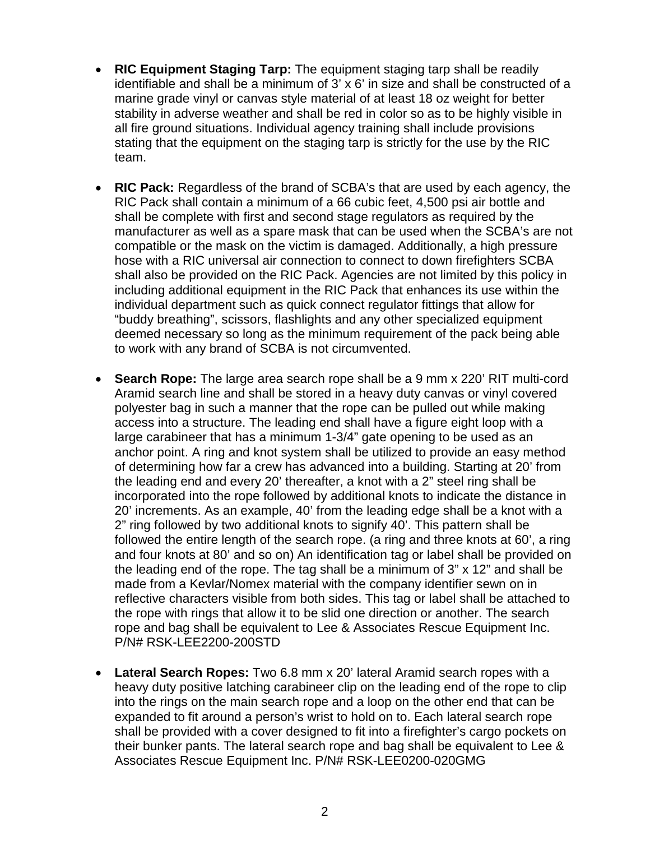- **RIC Equipment Staging Tarp:** The equipment staging tarp shall be readily identifiable and shall be a minimum of 3' x 6' in size and shall be constructed of a marine grade vinyl or canvas style material of at least 18 oz weight for better stability in adverse weather and shall be red in color so as to be highly visible in all fire ground situations. Individual agency training shall include provisions stating that the equipment on the staging tarp is strictly for the use by the RIC team.
- **RIC Pack:** Regardless of the brand of SCBA's that are used by each agency, the RIC Pack shall contain a minimum of a 66 cubic feet, 4,500 psi air bottle and shall be complete with first and second stage regulators as required by the manufacturer as well as a spare mask that can be used when the SCBA's are not compatible or the mask on the victim is damaged. Additionally, a high pressure hose with a RIC universal air connection to connect to down firefighters SCBA shall also be provided on the RIC Pack. Agencies are not limited by this policy in including additional equipment in the RIC Pack that enhances its use within the individual department such as quick connect regulator fittings that allow for "buddy breathing", scissors, flashlights and any other specialized equipment deemed necessary so long as the minimum requirement of the pack being able to work with any brand of SCBA is not circumvented.
- **Search Rope:** The large area search rope shall be a 9 mm x 220' RIT multi-cord Aramid search line and shall be stored in a heavy duty canvas or vinyl covered polyester bag in such a manner that the rope can be pulled out while making access into a structure. The leading end shall have a figure eight loop with a large carabineer that has a minimum 1-3/4" gate opening to be used as an anchor point. A ring and knot system shall be utilized to provide an easy method of determining how far a crew has advanced into a building. Starting at 20' from the leading end and every 20' thereafter, a knot with a 2" steel ring shall be incorporated into the rope followed by additional knots to indicate the distance in 20' increments. As an example, 40' from the leading edge shall be a knot with a 2" ring followed by two additional knots to signify 40'. This pattern shall be followed the entire length of the search rope. (a ring and three knots at 60', a ring and four knots at 80' and so on) An identification tag or label shall be provided on the leading end of the rope. The tag shall be a minimum of 3" x 12" and shall be made from a Kevlar/Nomex material with the company identifier sewn on in reflective characters visible from both sides. This tag or label shall be attached to the rope with rings that allow it to be slid one direction or another. The search rope and bag shall be equivalent to Lee & Associates Rescue Equipment Inc. P/N# RSK-LEE2200-200STD
- **Lateral Search Ropes:** Two 6.8 mm x 20' lateral Aramid search ropes with a heavy duty positive latching carabineer clip on the leading end of the rope to clip into the rings on the main search rope and a loop on the other end that can be expanded to fit around a person's wrist to hold on to. Each lateral search rope shall be provided with a cover designed to fit into a firefighter's cargo pockets on their bunker pants. The lateral search rope and bag shall be equivalent to Lee & Associates Rescue Equipment Inc. P/N# RSK-LEE0200-020GMG